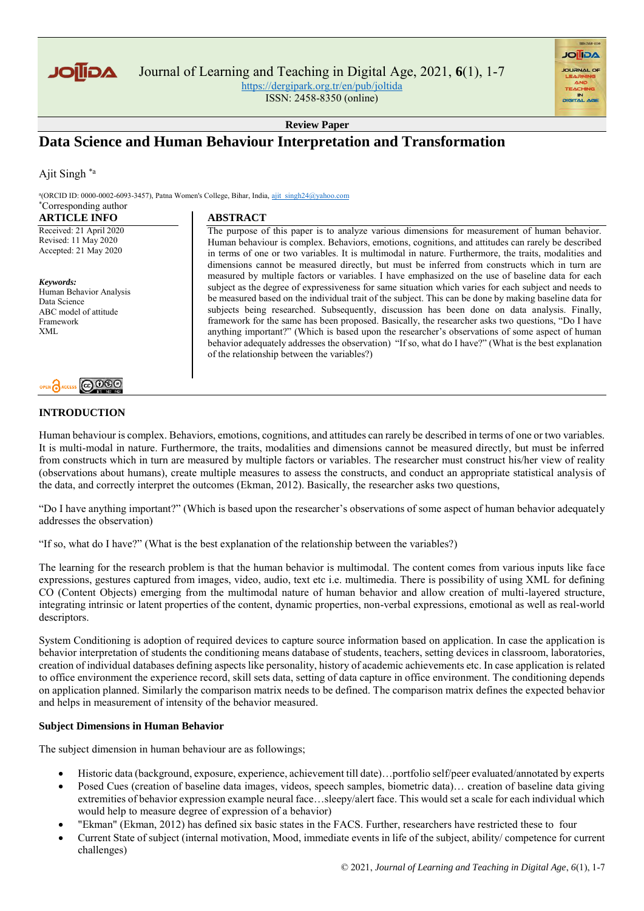

Journal of Learning and Teaching in Digital Age, 2021, **6**(1), 1-7 <https://dergipark.org.tr/en/pub/joltida>

ISSN: 2458-8350 (online)

**Review Paper**

# **Data Science and Human Behaviour Interpretation and Transformation**

Ajit Singh \*a

<sup>a</sup>(ORCID ID: 0000-0002-6093-3457), Patna Women's College, Bihar, India, ajit\_singh24@yahoo.com \*Corresponding author

**ABSTRACT** 

### **ARTICLE INFO**

Received: 21 April 2020 Revised: 11 May 2020 Accepted: 21 May 2020

*Keywords:* Human Behavior Analysis Data Science ABC model of attitude Framework XML



## **INTRODUCTION**

The purpose of this paper is to analyze various dimensions for measurement of human behavior. Human behaviour is complex. Behaviors, emotions, cognitions, and attitudes can rarely be described in terms of one or two variables. It is multimodal in nature. Furthermore, the traits, modalities and dimensions cannot be measured directly, but must be inferred from constructs which in turn are measured by multiple factors or variables. I have emphasized on the use of baseline data for each subject as the degree of expressiveness for same situation which varies for each subject and needs to be measured based on the individual trait of the subject. This can be done by making baseline data for subjects being researched. Subsequently, discussion has been done on data analysis. Finally, framework for the same has been proposed. Basically, the researcher asks two questions, "Do I have anything important?" (Which is based upon the researcher's observations of some aspect of human behavior adequately addresses the observation) "If so, what do I have?" (What is the best explanation of the relationship between the variables?)

**AGIIOL** 

Human behaviour is complex. Behaviors, emotions, cognitions, and attitudes can rarely be described in terms of one or two variables. It is multi-modal in nature. Furthermore, the traits, modalities and dimensions cannot be measured directly, but must be inferred from constructs which in turn are measured by multiple factors or variables. The researcher must construct his/her view of reality (observations about humans), create multiple measures to assess the constructs, and conduct an appropriate statistical analysis of the data, and correctly interpret the outcomes (Ekman, 2012). Basically, the researcher asks two questions,

"Do I have anything important?" (Which is based upon the researcher's observations of some aspect of human behavior adequately addresses the observation)

"If so, what do I have?" (What is the best explanation of the relationship between the variables?)

The learning for the research problem is that the human behavior is multimodal. The content comes from various inputs like face expressions, gestures captured from images, video, audio, text etc i.e. multimedia. There is possibility of using XML for defining CO (Content Objects) emerging from the multimodal nature of human behavior and allow creation of multi-layered structure, integrating intrinsic or latent properties of the content, dynamic properties, non-verbal expressions, emotional as well as real-world descriptors.

System Conditioning is adoption of required devices to capture source information based on application. In case the application is behavior interpretation of students the conditioning means database of students, teachers, setting devices in classroom, laboratories, creation of individual databases defining aspects like personality, history of academic achievements etc. In case application is related to office environment the experience record, skill sets data, setting of data capture in office environment. The conditioning depends on application planned. Similarly the comparison matrix needs to be defined. The comparison matrix defines the expected behavior and helps in measurement of intensity of the behavior measured.

## **Subject Dimensions in Human Behavior**

The subject dimension in human behaviour are as followings;

- Historic data (background, exposure, experience, achievement till date)…portfolio self/peer evaluated/annotated by experts
- Posed Cues (creation of baseline data images, videos, speech samples, biometric data)… creation of baseline data giving extremities of behavior expression example neural face…sleepy/alert face. This would set a scale for each individual which would help to measure degree of expression of a behavior)
- "Ekman" (Ekman, 2012) has defined six basic states in the FACS. Further, researchers have restricted these to four
- Current State of subject (internal motivation, Mood, immediate events in life of the subject, ability/ competence for current challenges)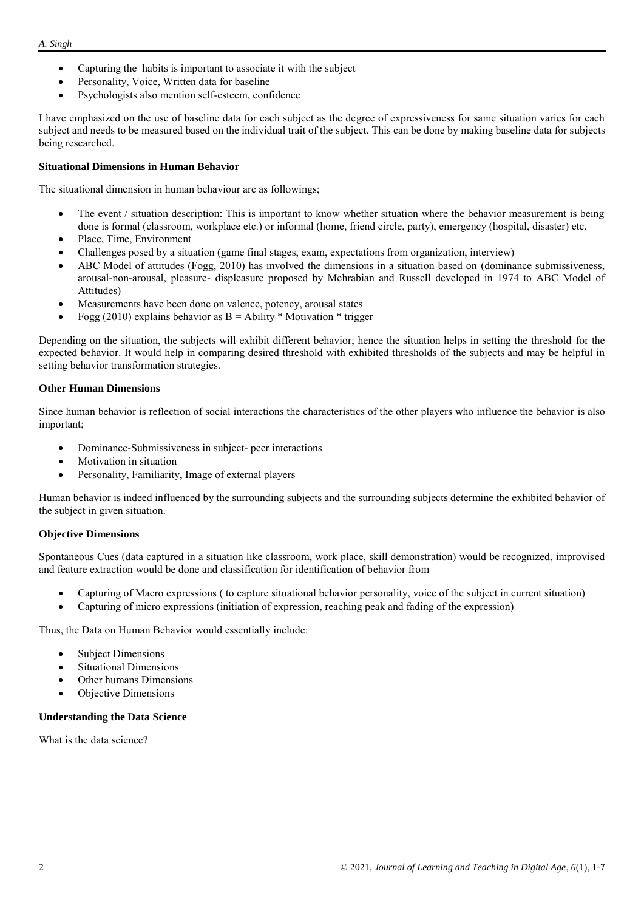- Capturing the habits is important to associate it with the subject
- Personality, Voice, Written data for baseline
- Psychologists also mention self-esteem, confidence

I have emphasized on the use of baseline data for each subject as the degree of expressiveness for same situation varies for each subject and needs to be measured based on the individual trait of the subject. This can be done by making baseline data for subjects being researched.

## **Situational Dimensions in Human Behavior**

The situational dimension in human behaviour are as followings;

- The event / situation description: This is important to know whether situation where the behavior measurement is being done is formal (classroom, workplace etc.) or informal (home, friend circle, party), emergency (hospital, disaster) etc.
- Place, Time, Environment
- Challenges posed by a situation (game final stages, exam, expectations from organization, interview)
- ABC Model of attitudes (Fogg, 2010) has involved the dimensions in a situation based on (dominance submissiveness, arousal-non-arousal, pleasure- displeasure proposed by Mehrabian and Russell developed in 1974 to ABC Model of Attitudes)
- Measurements have been done on valence, potency, arousal states
- Fogg (2010) explains behavior as  $B =$  Ability  $*$  Motivation  $*$  trigger

Depending on the situation, the subjects will exhibit different behavior; hence the situation helps in setting the threshold for the expected behavior. It would help in comparing desired threshold with exhibited thresholds of the subjects and may be helpful in setting behavior transformation strategies.

### **Other Human Dimensions**

Since human behavior is reflection of social interactions the characteristics of the other players who influence the behavior is also important;

- Dominance-Submissiveness in subject- peer interactions
- Motivation in situation
- Personality, Familiarity, Image of external players

Human behavior is indeed influenced by the surrounding subjects and the surrounding subjects determine the exhibited behavior of the subject in given situation.

### **Objective Dimensions**

Spontaneous Cues (data captured in a situation like classroom, work place, skill demonstration) would be recognized, improvised and feature extraction would be done and classification for identification of behavior from

- Capturing of Macro expressions ( to capture situational behavior personality, voice of the subject in current situation)
- Capturing of micro expressions (initiation of expression, reaching peak and fading of the expression)

Thus, the Data on Human Behavior would essentially include:

- Subject Dimensions
- Situational Dimensions
- Other humans Dimensions
- Objective Dimensions

### **Understanding the Data Science**

What is the data science?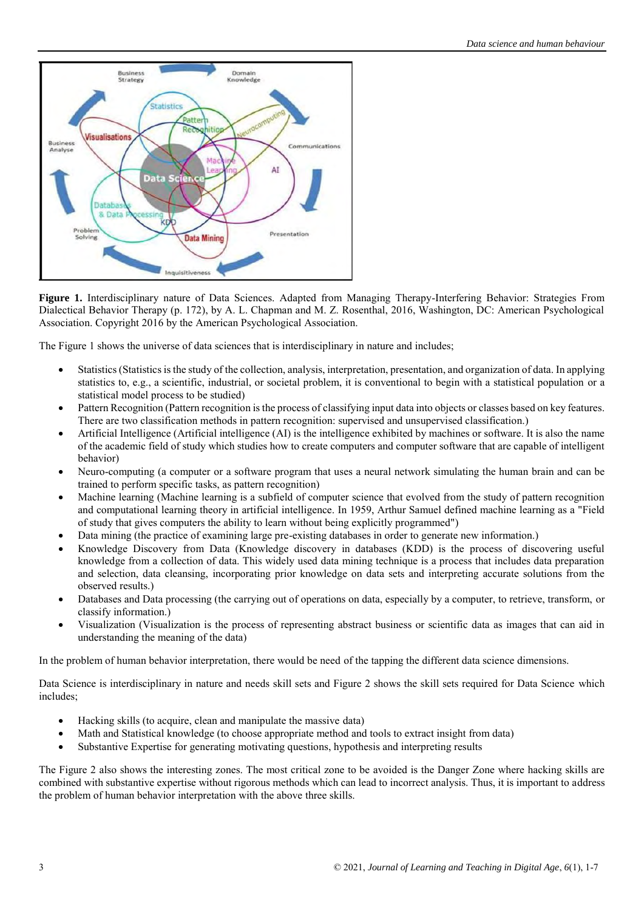

**Figure 1.** Interdisciplinary nature of Data Sciences. Adapted from Managing Therapy-Interfering Behavior: Strategies From Dialectical Behavior Therapy (p. 172), by A. L. Chapman and M. Z. Rosenthal, 2016, Washington, DC: American Psychological Association. Copyright 2016 by the American Psychological Association.

The Figure 1 shows the universe of data sciences that is interdisciplinary in nature and includes;

- Statistics (Statistics is the study of the collection, analysis, interpretation, presentation, and organization of data. In applying statistics to, e.g., a scientific, industrial, or societal problem, it is conventional to begin with a statistical population or a statistical model process to be studied)
- Pattern Recognition (Pattern recognition is the process of classifying input data into objects or classes based on key features. There are two classification methods in pattern recognition: supervised and unsupervised classification.)
- Artificial Intelligence (Artificial intelligence (AI) is the intelligence exhibited by machines or software. It is also the name of the academic field of study which studies how to create computers and computer software that are capable of intelligent behavior)
- Neuro-computing (a computer or a software program that uses a neural network simulating the human brain and can be trained to perform specific tasks, as pattern recognition)
- Machine learning (Machine learning is a subfield of computer science that evolved from the study of pattern recognition and computational learning theory in artificial intelligence. In 1959, Arthur Samuel defined machine learning as a "Field of study that gives computers the ability to learn without being explicitly programmed")
- Data mining (the practice of examining large pre-existing databases in order to generate new information.)
- Knowledge Discovery from Data (Knowledge discovery in databases (KDD) is the process of discovering useful knowledge from a collection of data. This widely used data mining technique is a process that includes data preparation and selection, data cleansing, incorporating prior knowledge on data sets and interpreting accurate solutions from the observed results.)
- Databases and Data processing (the carrying out of operations on data, especially by a computer, to retrieve, transform, or classify information.)
- Visualization (Visualization is the process of representing abstract business or scientific data as images that can aid in understanding the meaning of the data)

In the problem of human behavior interpretation, there would be need of the tapping the different data science dimensions.

Data Science is interdisciplinary in nature and needs skill sets and Figure 2 shows the skill sets required for Data Science which includes;

- Hacking skills (to acquire, clean and manipulate the massive data)
- Math and Statistical knowledge (to choose appropriate method and tools to extract insight from data)
- Substantive Expertise for generating motivating questions, hypothesis and interpreting results

The Figure 2 also shows the interesting zones. The most critical zone to be avoided is the Danger Zone where hacking skills are combined with substantive expertise without rigorous methods which can lead to incorrect analysis. Thus, it is important to address the problem of human behavior interpretation with the above three skills.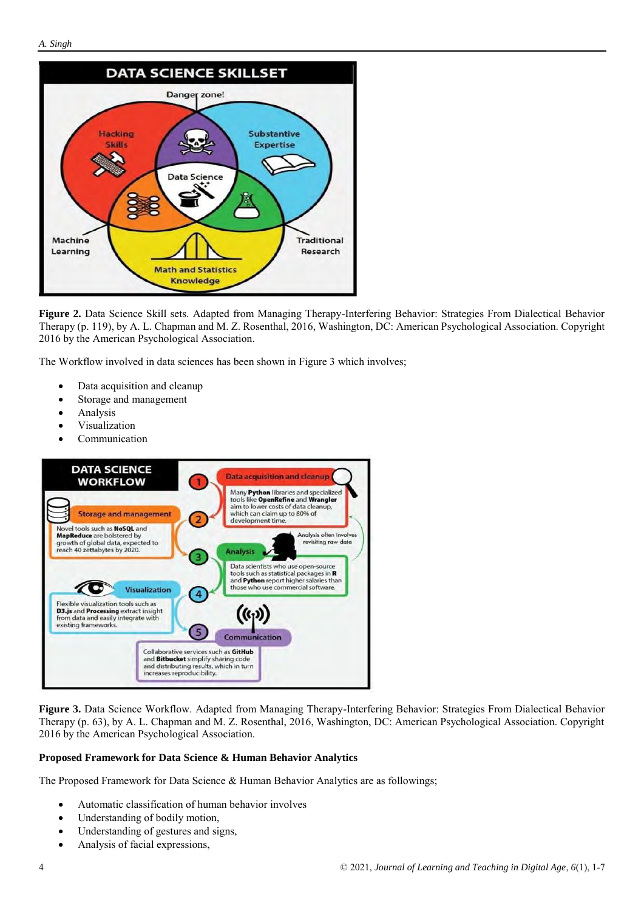

**Figure 2.** Data Science Skill sets. Adapted from Managing Therapy-Interfering Behavior: Strategies From Dialectical Behavior Therapy (p. 119), by A. L. Chapman and M. Z. Rosenthal, 2016, Washington, DC: American Psychological Association. Copyright 2016 by the American Psychological Association.

The Workflow involved in data sciences has been shown in Figure 3 which involves;

- Data acquisition and cleanup
- Storage and management
- Analysis
- Visualization
- Communication



**Figure 3.** Data Science Workflow. Adapted from Managing Therapy-Interfering Behavior: Strategies From Dialectical Behavior Therapy (p. 63), by A. L. Chapman and M. Z. Rosenthal, 2016, Washington, DC: American Psychological Association. Copyright 2016 by the American Psychological Association.

### **Proposed Framework for Data Science & Human Behavior Analytics**

The Proposed Framework for Data Science & Human Behavior Analytics are as followings;

- Automatic classification of human behavior involves
- Understanding of bodily motion,
- Understanding of gestures and signs,
- Analysis of facial expressions,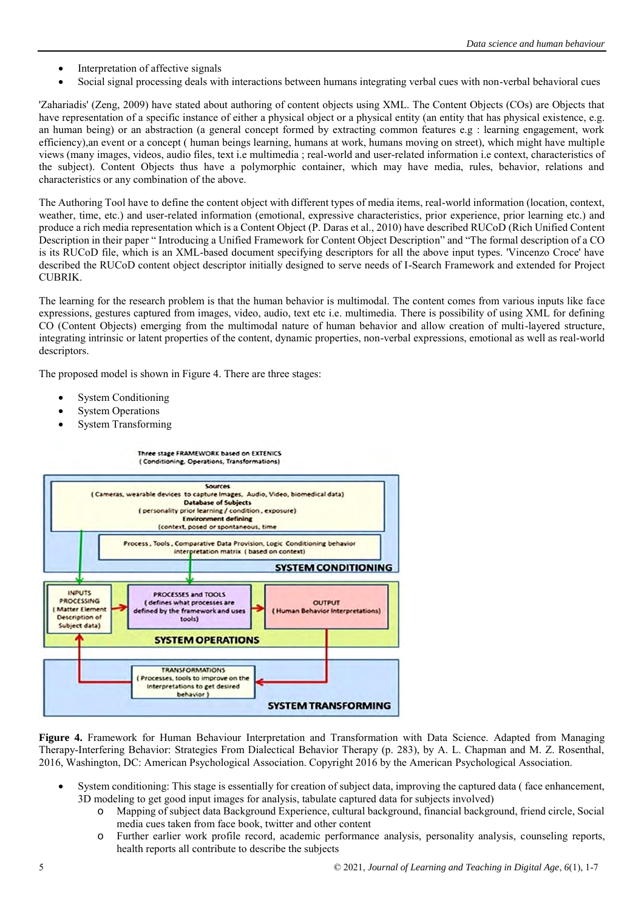- Interpretation of affective signals
- Social signal processing deals with interactions between humans integrating verbal cues with non-verbal behavioral cues

'Zahariadis' (Zeng, 2009) have stated about authoring of content objects using XML. The Content Objects (COs) are Objects that have representation of a specific instance of either a physical object or a physical entity (an entity that has physical existence, e.g. an human being) or an abstraction (a general concept formed by extracting common features e.g : learning engagement, work efficiency),an event or a concept ( human beings learning, humans at work, humans moving on street), which might have multiple views (many images, videos, audio files, text i.e multimedia ; real-world and user-related information i.e context, characteristics of the subject). Content Objects thus have a polymorphic container, which may have media, rules, behavior, relations and characteristics or any combination of the above.

The Authoring Tool have to define the content object with different types of media items, real-world information (location, context, weather, time, etc.) and user-related information (emotional, expressive characteristics, prior experience, prior learning etc.) and produce a rich media representation which is a Content Object (P. Daras et al., 2010) have described RUCoD (Rich Unified Content Description in their paper " Introducing a Unified Framework for Content Object Description" and "The formal description of a CO is its RUCoD file, which is an XML-based document specifying descriptors for all the above input types. 'Vincenzo Croce' have described the RUCoD content object descriptor initially designed to serve needs of I-Search Framework and extended for Project CUBRIK.

The learning for the research problem is that the human behavior is multimodal. The content comes from various inputs like face expressions, gestures captured from images, video, audio, text etc i.e. multimedia. There is possibility of using XML for defining CO (Content Objects) emerging from the multimodal nature of human behavior and allow creation of multi-layered structure, integrating intrinsic or latent properties of the content, dynamic properties, non-verbal expressions, emotional as well as real-world descriptors.

The proposed model is shown in Figure 4. There are three stages:

- System Conditioning
- System Operations
- System Transforming



**Figure 4.** Framework for Human Behaviour Interpretation and Transformation with Data Science. Adapted from Managing Therapy-Interfering Behavior: Strategies From Dialectical Behavior Therapy (p. 283), by A. L. Chapman and M. Z. Rosenthal, 2016, Washington, DC: American Psychological Association. Copyright 2016 by the American Psychological Association.

- System conditioning: This stage is essentially for creation of subject data, improving the captured data ( face enhancement, 3D modeling to get good input images for analysis, tabulate captured data for subjects involved)
	- o Mapping of subject data Background Experience, cultural background, financial background, friend circle, Social media cues taken from face book, twitter and other content
	- o Further earlier work profile record, academic performance analysis, personality analysis, counseling reports, health reports all contribute to describe the subjects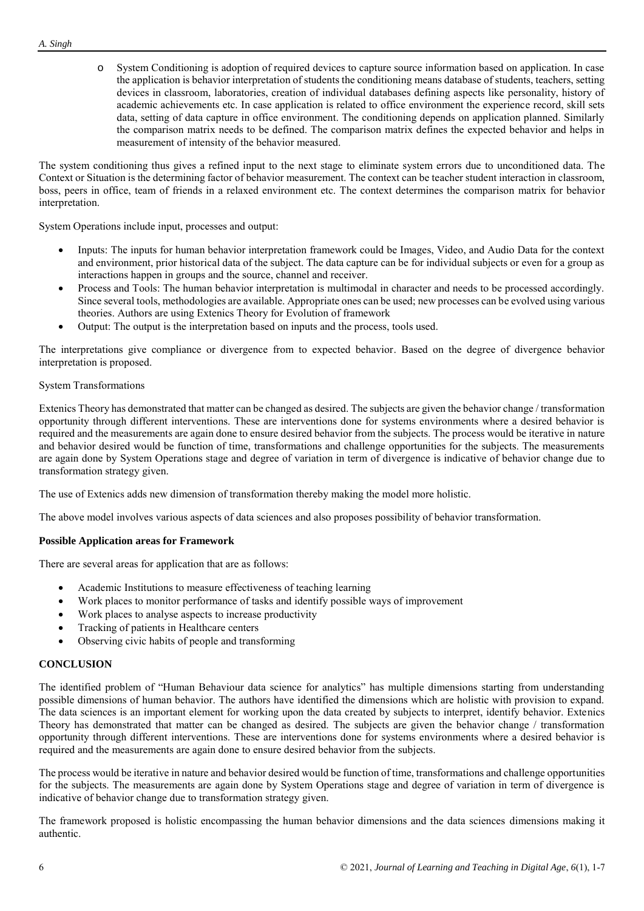o System Conditioning is adoption of required devices to capture source information based on application. In case the application is behavior interpretation of students the conditioning means database of students, teachers, setting devices in classroom, laboratories, creation of individual databases defining aspects like personality, history of academic achievements etc. In case application is related to office environment the experience record, skill sets data, setting of data capture in office environment. The conditioning depends on application planned. Similarly the comparison matrix needs to be defined. The comparison matrix defines the expected behavior and helps in measurement of intensity of the behavior measured.

The system conditioning thus gives a refined input to the next stage to eliminate system errors due to unconditioned data. The Context or Situation is the determining factor of behavior measurement. The context can be teacher student interaction in classroom, boss, peers in office, team of friends in a relaxed environment etc. The context determines the comparison matrix for behavior interpretation.

System Operations include input, processes and output:

- Inputs: The inputs for human behavior interpretation framework could be Images, Video, and Audio Data for the context and environment, prior historical data of the subject. The data capture can be for individual subjects or even for a group as interactions happen in groups and the source, channel and receiver.
- Process and Tools: The human behavior interpretation is multimodal in character and needs to be processed accordingly. Since several tools, methodologies are available. Appropriate ones can be used; new processes can be evolved using various theories. Authors are using Extenics Theory for Evolution of framework
- Output: The output is the interpretation based on inputs and the process, tools used.

The interpretations give compliance or divergence from to expected behavior. Based on the degree of divergence behavior interpretation is proposed.

## System Transformations

Extenics Theory has demonstrated that matter can be changed as desired. The subjects are given the behavior change / transformation opportunity through different interventions. These are interventions done for systems environments where a desired behavior is required and the measurements are again done to ensure desired behavior from the subjects. The process would be iterative in nature and behavior desired would be function of time, transformations and challenge opportunities for the subjects. The measurements are again done by System Operations stage and degree of variation in term of divergence is indicative of behavior change due to transformation strategy given.

The use of Extenics adds new dimension of transformation thereby making the model more holistic.

The above model involves various aspects of data sciences and also proposes possibility of behavior transformation.

## **Possible Application areas for Framework**

There are several areas for application that are as follows:

- Academic Institutions to measure effectiveness of teaching learning
- Work places to monitor performance of tasks and identify possible ways of improvement
- Work places to analyse aspects to increase productivity
- Tracking of patients in Healthcare centers
- Observing civic habits of people and transforming

### **CONCLUSION**

The identified problem of "Human Behaviour data science for analytics" has multiple dimensions starting from understanding possible dimensions of human behavior. The authors have identified the dimensions which are holistic with provision to expand. The data sciences is an important element for working upon the data created by subjects to interpret, identify behavior. Extenics Theory has demonstrated that matter can be changed as desired. The subjects are given the behavior change / transformation opportunity through different interventions. These are interventions done for systems environments where a desired behavior is required and the measurements are again done to ensure desired behavior from the subjects.

The process would be iterative in nature and behavior desired would be function of time, transformations and challenge opportunities for the subjects. The measurements are again done by System Operations stage and degree of variation in term of divergence is indicative of behavior change due to transformation strategy given.

The framework proposed is holistic encompassing the human behavior dimensions and the data sciences dimensions making it authentic.